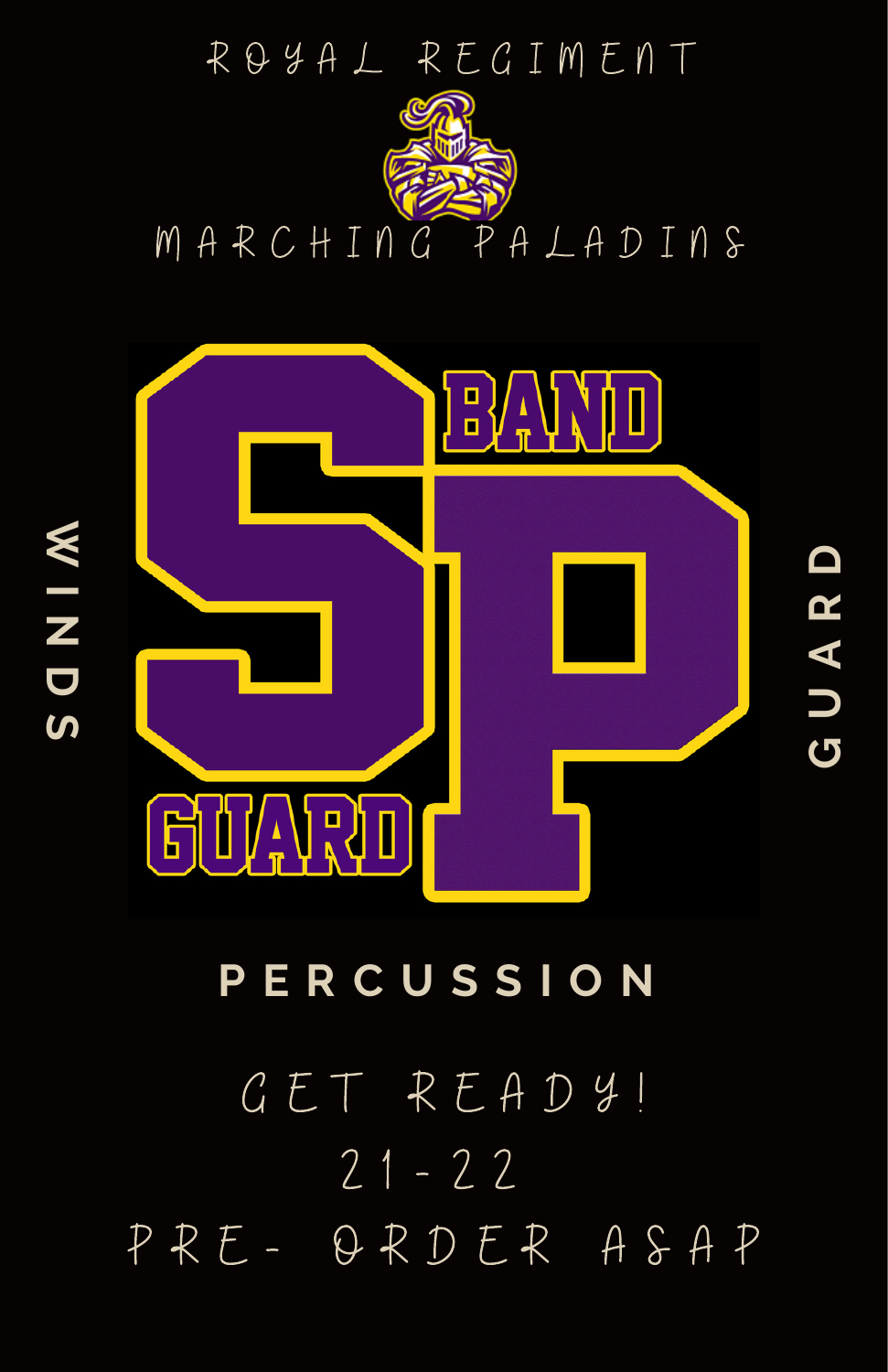

**I N D**

**GUAR**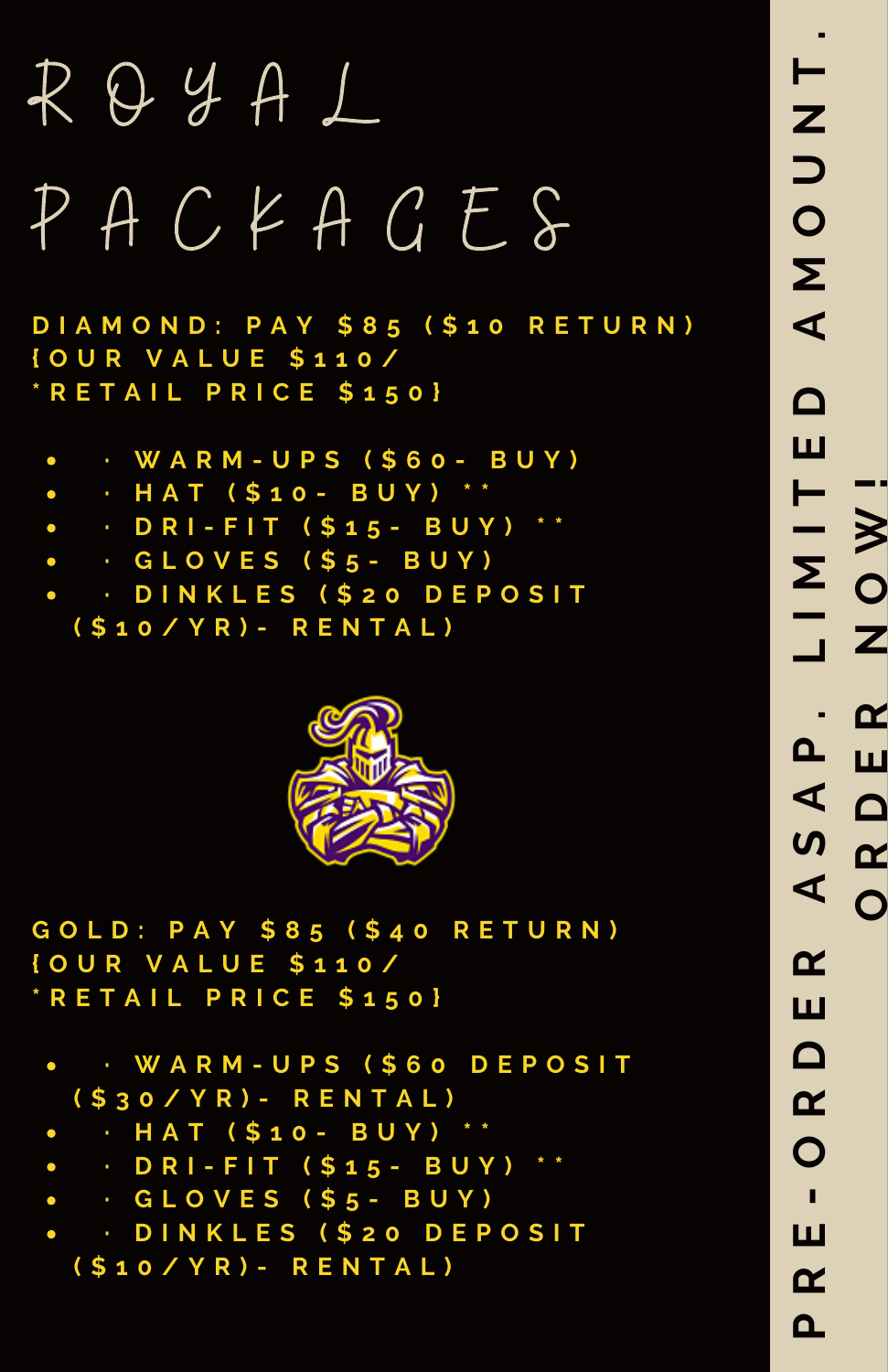## R O Y A L P A C K A G E S

**D I A M O N D : P A Y \$ 8 5 ( \$ 1 0 R E T U R N ) { O U R V A L U E \$ 1 1 0 / \* R E T A I L P R I C E \$ 1 5 0 }**

- **· W A R M - U P S ( \$ 6 0 - B U Y )**
- **· H A T ( \$ 1 0 - B U Y ) \* \***  $\bullet$
- **· D R I - F I T ( \$ 1 5 - B U Y ) \* \***
- **· G L O V E S ( \$ 5 - B U Y )**
- **· D I N K L E S ( \$ 2 0 D E P O S I T ( \$ 1 0 / Y R ) - R E N T A L )**



**G O L D : P A Y \$ 8 5 ( \$ 4 0 R E T U R N ) { O U R V A L U E \$ 1 1 0 / \* R E T A I L P R I C E \$ 1 5 0 }**

- **· W A R M - U P S ( \$ 6 0 D E P O S I T ( \$ 3 0 / Y R ) - R E N T A L )**
- **· H A T ( \$ 1 0 - B U Y ) \* \***  $\bullet$
- **· D R I - F I T ( \$ 1 5 - B U Y ) \* \***
- **· G L O V E S ( \$ 5 - B U Y )**
- **· D I N K L E S ( \$ 2 0 D E P O S I T ( \$ 1 0 / Y R ) - R E N T A L )**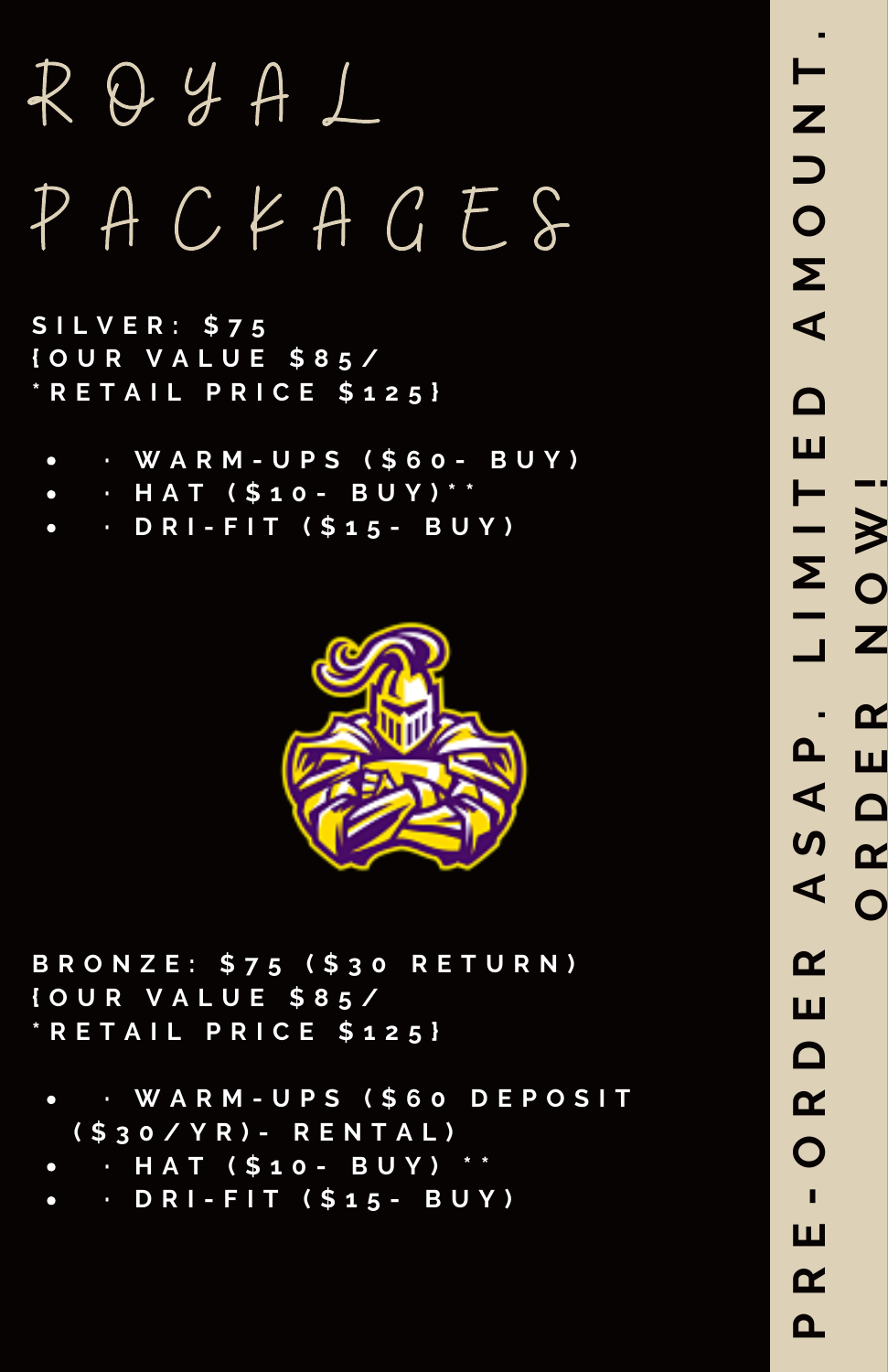## R O Y A L P A C K A G E S

**S I L V E R : \$ 7 5 { O U R V A L U E \$ 8 5 / \* R E T A I L P R I C E \$ 1 2 5 }**

- **· W A R M - U P S ( \$ 6 0 - B U Y )**  $\bullet$
- **· H A T ( \$ 1 0 - B U Y ) \* \***
- **· D R I - F I T ( \$ 1 5 - B U Y )**



**B R O N Z E : \$ 7 5 ( \$ 3 0 R E T U R N ) { O U R V A L U E \$ 8 5 / \* R E T A I L P R I C E \$ 1 2 5 }**

- **· W A R M - U P S ( \$ 6 0 D E P O S I T ( \$ 3 0 / Y R ) - R E N T A L )**
- **· H A T ( \$ 1 0 - B U Y ) \* \***
- **· D R I - F I T ( \$ 1 5 - B U Y )**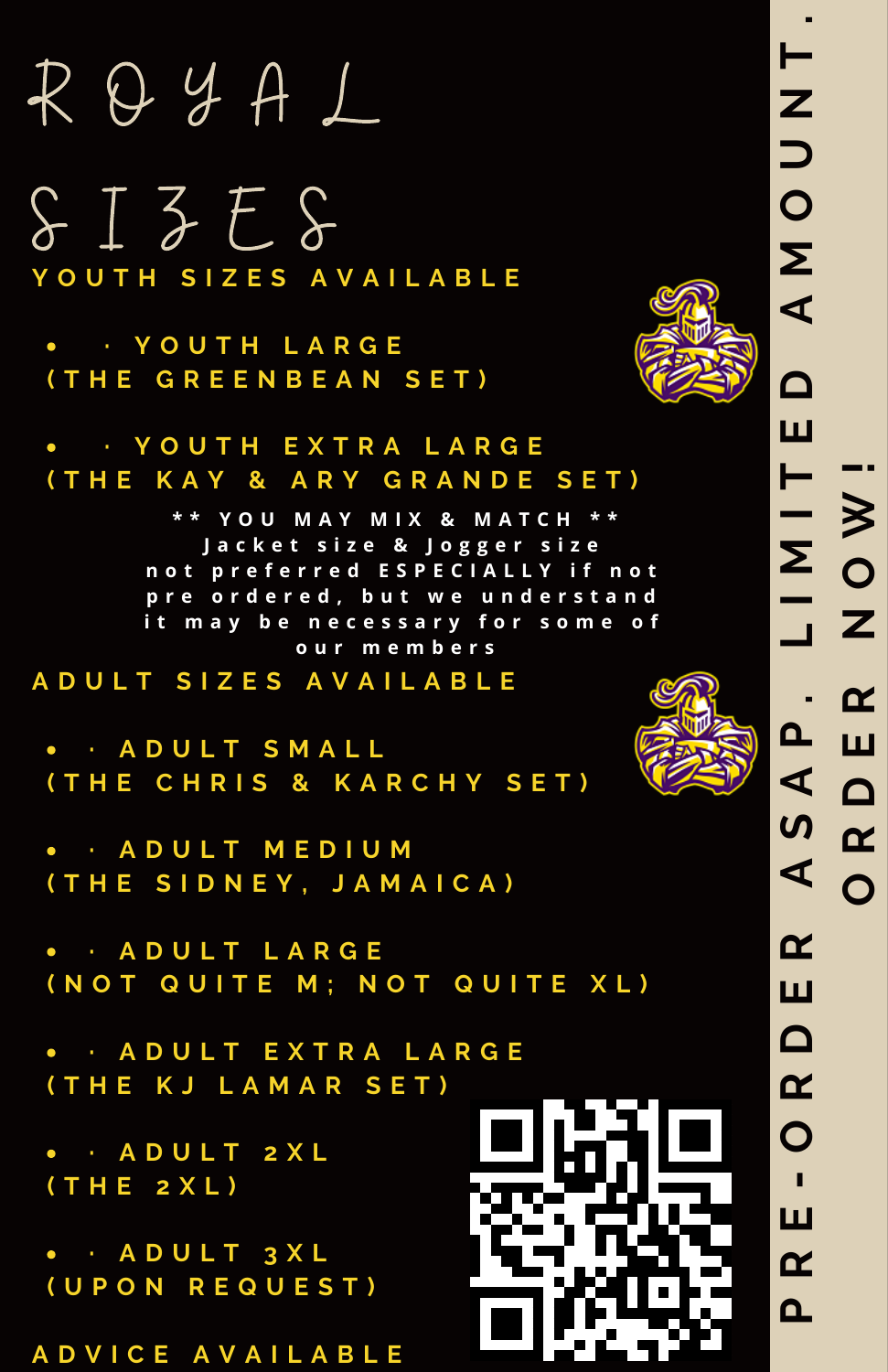## R O Y A L

 $$I$ZE$$ **Y O U T H S I Z E S A V A I L A B L E**

**· Y O U T H L A R G E ( T H E G R E E N B E A N S E T )**



**· Y O U T H E X T R A L A R G E ( T H E K A Y & A R Y G R A N D E S E T )**

> **\* \* Y O U M A Y M I X & M A T C H \* \* J a c k e t s i z e & J o g g e r s i z e** not preferred ESPECIALLY if not pre ordered, but we understand **i t m a y b e n e c e s s a r y f o r s o m e o f o u r m e m b e r s**

**A D U L T S I Z E S A V A I L A B L E**

**· A D U L T S M A L L ( T H E C H R I S & K A R C H Y S E T )**

**· A D U L T M E D I U M ( T H E S I D N E Y , J A M A I C A )**

**· A D U L T L A R G E ( N O T Q U I T E M ; N O T Q U I T E X L )**

**· A D U L T E X T R A L A R G E ( T H E K J L A M A R S E T )**

**· A D U L T 2 X L ( T H E 2 X L )**

**· A D U L T 3 X L ( U P O N R E Q U E S T )**

**A D V I C E A V A I L A B L E**





 $\overline{\mathsf{L}}$ 

**N**

**T .**

**p R**

**E-O**

**R**

**D**

**E**